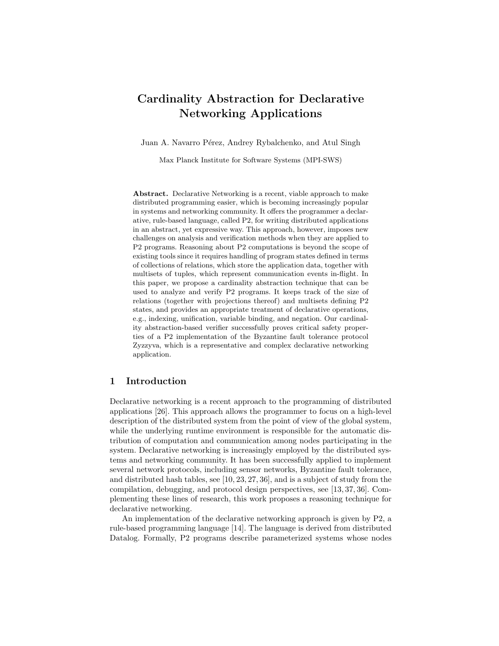# Cardinality Abstraction for Declarative Networking Applications

Juan A. Navarro Pérez, Andrey Rybalchenko, and Atul Singh

Max Planck Institute for Software Systems (MPI-SWS)

Abstract. Declarative Networking is a recent, viable approach to make distributed programming easier, which is becoming increasingly popular in systems and networking community. It offers the programmer a declarative, rule-based language, called P2, for writing distributed applications in an abstract, yet expressive way. This approach, however, imposes new challenges on analysis and verification methods when they are applied to P2 programs. Reasoning about P2 computations is beyond the scope of existing tools since it requires handling of program states defined in terms of collections of relations, which store the application data, together with multisets of tuples, which represent communication events in-flight. In this paper, we propose a cardinality abstraction technique that can be used to analyze and verify P2 programs. It keeps track of the size of relations (together with projections thereof) and multisets defining P2 states, and provides an appropriate treatment of declarative operations, e.g., indexing, unification, variable binding, and negation. Our cardinality abstraction-based verifier successfully proves critical safety properties of a P2 implementation of the Byzantine fault tolerance protocol Zyzzyva, which is a representative and complex declarative networking application.

## 1 Introduction

Declarative networking is a recent approach to the programming of distributed applications [26]. This approach allows the programmer to focus on a high-level description of the distributed system from the point of view of the global system, while the underlying runtime environment is responsible for the automatic distribution of computation and communication among nodes participating in the system. Declarative networking is increasingly employed by the distributed systems and networking community. It has been successfully applied to implement several network protocols, including sensor networks, Byzantine fault tolerance, and distributed hash tables, see [10, 23, 27, 36], and is a subject of study from the compilation, debugging, and protocol design perspectives, see [13, 37, 36]. Complementing these lines of research, this work proposes a reasoning technique for declarative networking.

An implementation of the declarative networking approach is given by P2, a rule-based programming language [14]. The language is derived from distributed Datalog. Formally, P2 programs describe parameterized systems whose nodes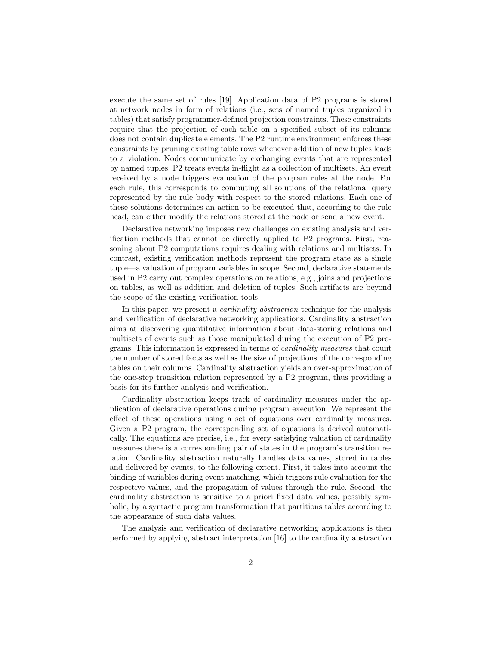execute the same set of rules [19]. Application data of P2 programs is stored at network nodes in form of relations (i.e., sets of named tuples organized in tables) that satisfy programmer-defined projection constraints. These constraints require that the projection of each table on a specified subset of its columns does not contain duplicate elements. The P2 runtime environment enforces these constraints by pruning existing table rows whenever addition of new tuples leads to a violation. Nodes communicate by exchanging events that are represented by named tuples. P2 treats events in-flight as a collection of multisets. An event received by a node triggers evaluation of the program rules at the node. For each rule, this corresponds to computing all solutions of the relational query represented by the rule body with respect to the stored relations. Each one of these solutions determines an action to be executed that, according to the rule head, can either modify the relations stored at the node or send a new event.

Declarative networking imposes new challenges on existing analysis and verification methods that cannot be directly applied to P2 programs. First, reasoning about P2 computations requires dealing with relations and multisets. In contrast, existing verification methods represent the program state as a single tuple—a valuation of program variables in scope. Second, declarative statements used in P2 carry out complex operations on relations, e.g., joins and projections on tables, as well as addition and deletion of tuples. Such artifacts are beyond the scope of the existing verification tools.

In this paper, we present a cardinality abstraction technique for the analysis and verification of declarative networking applications. Cardinality abstraction aims at discovering quantitative information about data-storing relations and multisets of events such as those manipulated during the execution of P2 programs. This information is expressed in terms of cardinality measures that count the number of stored facts as well as the size of projections of the corresponding tables on their columns. Cardinality abstraction yields an over-approximation of the one-step transition relation represented by a P2 program, thus providing a basis for its further analysis and verification.

Cardinality abstraction keeps track of cardinality measures under the application of declarative operations during program execution. We represent the effect of these operations using a set of equations over cardinality measures. Given a P2 program, the corresponding set of equations is derived automatically. The equations are precise, i.e., for every satisfying valuation of cardinality measures there is a corresponding pair of states in the program's transition relation. Cardinality abstraction naturally handles data values, stored in tables and delivered by events, to the following extent. First, it takes into account the binding of variables during event matching, which triggers rule evaluation for the respective values, and the propagation of values through the rule. Second, the cardinality abstraction is sensitive to a priori fixed data values, possibly symbolic, by a syntactic program transformation that partitions tables according to the appearance of such data values.

The analysis and verification of declarative networking applications is then performed by applying abstract interpretation [16] to the cardinality abstraction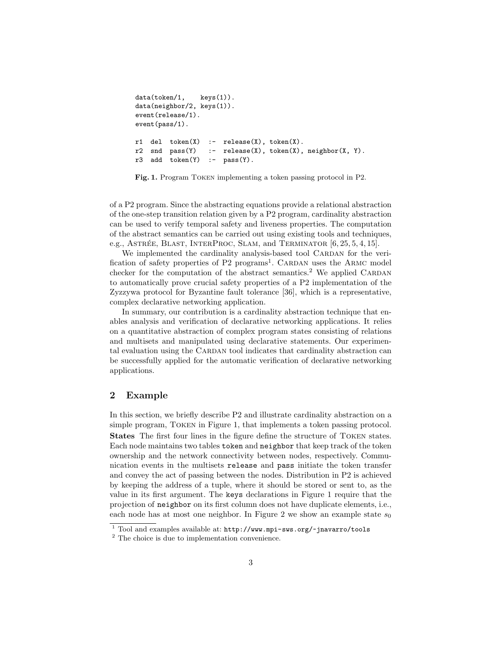```
data(token/1, keys(1)).
data(neighbor/2, keys(1)).
event(release/1).
event(pass/1).
r1 del token(X) :- release(X), token(X).
r2 snd pass(Y) :- release(X), token(X), neighbor(X, Y).
r3 add token(Y) :- pass(Y).
```
Fig. 1. Program Token implementing a token passing protocol in P2.

of a P2 program. Since the abstracting equations provide a relational abstraction of the one-step transition relation given by a P2 program, cardinality abstraction can be used to verify temporal safety and liveness properties. The computation of the abstract semantics can be carried out using existing tools and techniques, e.g., ASTRÉE, BLAST, INTERPROC, SLAM, and TERMINATOR [6, 25, 5, 4, 15].

We implemented the cardinality analysis-based tool CARDAN for the verification of safety properties of P2 programs<sup>1</sup>. CARDAN uses the ARMC model checker for the computation of the abstract semantics.<sup>2</sup> We applied CARDAN to automatically prove crucial safety properties of a P2 implementation of the Zyzzywa protocol for Byzantine fault tolerance [36], which is a representative, complex declarative networking application.

In summary, our contribution is a cardinality abstraction technique that enables analysis and verification of declarative networking applications. It relies on a quantitative abstraction of complex program states consisting of relations and multisets and manipulated using declarative statements. Our experimental evaluation using the CARDAN tool indicates that cardinality abstraction can be successfully applied for the automatic verification of declarative networking applications.

## 2 Example

In this section, we briefly describe P2 and illustrate cardinality abstraction on a simple program, Token in Figure 1, that implements a token passing protocol. States The first four lines in the figure define the structure of Token states. Each node maintains two tables token and neighbor that keep track of the token ownership and the network connectivity between nodes, respectively. Communication events in the multisets release and pass initiate the token transfer and convey the act of passing between the nodes. Distribution in P2 is achieved by keeping the address of a tuple, where it should be stored or sent to, as the value in its first argument. The keys declarations in Figure 1 require that the projection of neighbor on its first column does not have duplicate elements, i.e., each node has at most one neighbor. In Figure 2 we show an example state  $s_0$ 

 $\frac{1}{1}$  Tool and examples available at: http://www.mpi-sws.org/~jnavarro/tools

<sup>2</sup> The choice is due to implementation convenience.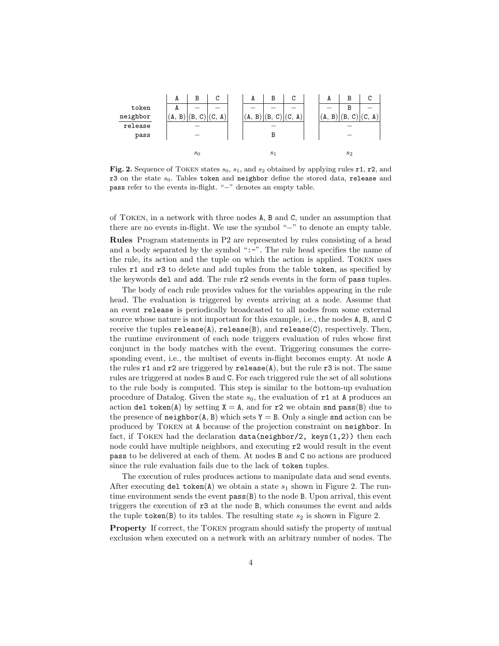

Fig. 2. Sequence of TOKEN states  $s_0$ ,  $s_1$ , and  $s_2$  obtained by applying rules r1, r2, and  $r3$  on the state  $s_0$ . Tables token and neighbor define the stored data, release and pass refer to the events in-flight. "−" denotes an empty table.

of Token, in a network with three nodes A, B and C, under an assumption that there are no events in-flight. We use the symbol "−" to denote an empty table.

Rules Program statements in P2 are represented by rules consisting of a head and a body separated by the symbol ":-". The rule head specifies the name of the rule, its action and the tuple on which the action is applied. Token uses rules r1 and r3 to delete and add tuples from the table token, as specified by the keywords del and add. The rule r2 sends events in the form of pass tuples.

The body of each rule provides values for the variables appearing in the rule head. The evaluation is triggered by events arriving at a node. Assume that an event release is periodically broadcasted to all nodes from some external source whose nature is not important for this example, i.e., the nodes A, B, and C receive the tuples  $relase(A)$ ,  $relase(B)$ , and  $relase(C)$ , respectively. Then, the runtime environment of each node triggers evaluation of rules whose first conjunct in the body matches with the event. Triggering consumes the corresponding event, i.e., the multiset of events in-flight becomes empty. At node A the rules  $r1$  and  $r2$  are triggered by  $release(A)$ , but the rule  $r3$  is not. The same rules are triggered at nodes B and C. For each triggered rule the set of all solutions to the rule body is computed. This step is similar to the bottom-up evaluation procedure of Datalog. Given the state  $s_0$ , the evaluation of  $r1$  at A produces an action del token(A) by setting  $X = A$ , and for r2 we obtain snd pass(B) due to the presence of neighbor(A, B) which sets  $Y = B$ . Only a single snd action can be produced by Token at A because of the projection constraint on neighbor. In fact, if TOKEN had the declaration  $data(neighbour/2$ , keys $(1,2)$ ) then each node could have multiple neighbors, and executing r2 would result in the event pass to be delivered at each of them. At nodes B and C no actions are produced since the rule evaluation fails due to the lack of token tuples.

The execution of rules produces actions to manipulate data and send events. After executing del token(A) we obtain a state  $s_1$  shown in Figure 2. The runtime environment sends the event pass(B) to the node B. Upon arrival, this event triggers the execution of  $r3$  at the node B, which consumes the event and adds the tuple  $\mathsf{token}(B)$  to its tables. The resulting state  $s_2$  is shown in Figure 2.

Property If correct, the TOKEN program should satisfy the property of mutual exclusion when executed on a network with an arbitrary number of nodes. The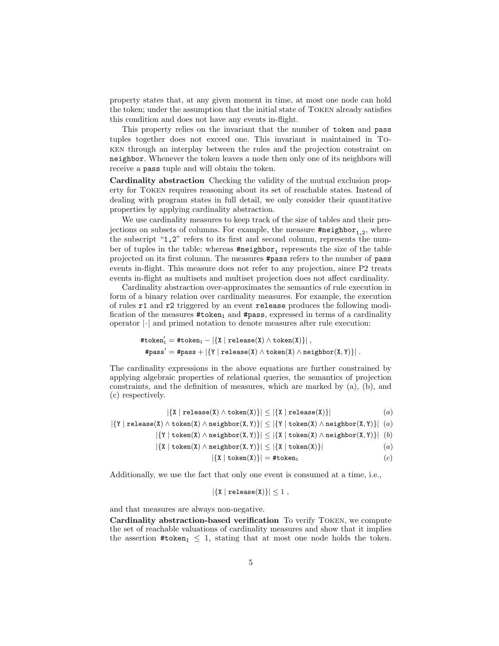property states that, at any given moment in time, at most one node can hold the token; under the assumption that the initial state of Token already satisfies this condition and does not have any events in-flight.

This property relies on the invariant that the number of token and pass tuples together does not exceed one. This invariant is maintained in Token through an interplay between the rules and the projection constraint on neighbor. Whenever the token leaves a node then only one of its neighbors will receive a pass tuple and will obtain the token.

Cardinality abstraction Checking the validity of the mutual exclusion property for Token requires reasoning about its set of reachable states. Instead of dealing with program states in full detail, we only consider their quantitative properties by applying cardinality abstraction.

We use cardinality measures to keep track of the size of tables and their projections on subsets of columns. For example, the measure  $\#neighbor_{1,2}$ , where the subscript "1,2" refers to its first and second column, represents the number of tuples in the table; whereas  $\texttt{\#neighbor}_1$  represents the size of the table projected on its first column. The measures #pass refers to the number of pass events in-flight. This measure does not refer to any projection, since P2 treats events in-flight as multisets and multiset projection does not affect cardinality.

Cardinality abstraction over-approximates the semantics of rule execution in form of a binary relation over cardinality measures. For example, the execution of rules r1 and r2 triggered by an event release produces the following modification of the measures  $\#$ token<sub>1</sub> and  $\#$ pass, expressed in terms of a cardinality operator |·| and primed notation to denote measures after rule execution:

$$
\# \texttt{token}'_1 = \# \texttt{token}_1 - |\{X \mid \texttt{release}(X) \land \texttt{token}(X)\}|,
$$
  

$$
\# \texttt{pass}' = \# \texttt{pass} + |\{Y \mid \texttt{release}(X) \land \texttt{token}(X) \land \texttt{neighbor}(X, Y)\}|.
$$

The cardinality expressions in the above equations are further constrained by applying algebraic properties of relational queries, the semantics of projection constraints, and the definition of measures, which are marked by (a), (b), and (c) respectively.

$$
|\{X \mid release(X) \land token(X)\}| \leq |\{X \mid release(X)\}| \qquad (a)
$$
\n
$$
|\{Y \mid release(X) \land token(X) \land neighbor(X,Y)\}| \leq |\{Y \mid token(X) \land neighbor(X,Y)\}| \qquad (a)
$$
\n
$$
|\{Y \mid token(X) \land neighbor(X,Y)\}| \leq |\{X \mid token(X) \land neighbor(X,Y)\}| \qquad (b)
$$
\n
$$
|\{X \mid token(X) \land neighbor(X,Y)\}| \leq |\{X \mid token(X)\}| \qquad (a)
$$
\n
$$
|\{X \mid token(X)\}| = #token_1 \qquad (c)
$$

Additionally, we use the fact that only one event is consumed at a time, i.e.,

$$
|\{X \mid \mathtt{release}(X)\}| \leq 1,
$$

and that measures are always non-negative.

Cardinality abstraction-based verification To verify Token, we compute the set of reachable valuations of cardinality measures and show that it implies the assertion  $\#$ token<sub>1</sub>  $\leq$  1, stating that at most one node holds the token.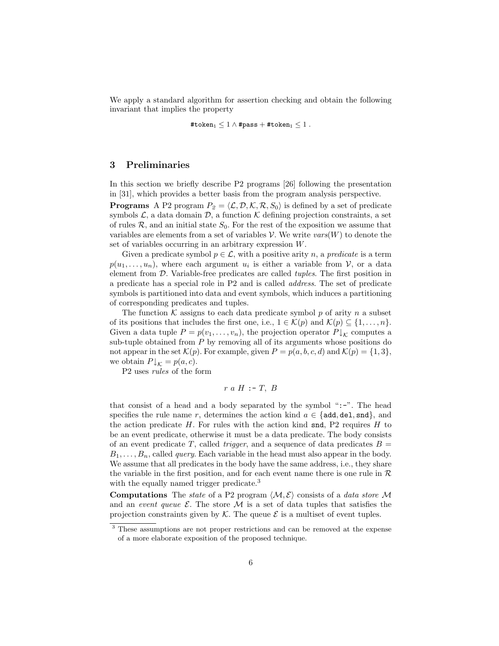We apply a standard algorithm for assertion checking and obtain the following invariant that implies the property

#token<sub>1</sub>  $\leq 1 \wedge$  #pass + #token<sub>1</sub>  $\leq 1$ .

## 3 Preliminaries

In this section we briefly describe P2 programs [26] following the presentation in [31], which provides a better basis from the program analysis perspective.

**Programs** A P2 program  $P_2 = \langle \mathcal{L}, \mathcal{D}, \mathcal{K}, \mathcal{R}, S_0 \rangle$  is defined by a set of predicate symbols  $\mathcal{L}$ , a data domain  $\mathcal{D}$ , a function  $\mathcal{K}$  defining projection constraints, a set of rules  $\mathcal{R}$ , and an initial state  $S_0$ . For the rest of the exposition we assume that variables are elements from a set of variables  $\mathcal V$ . We write vars $(W)$  to denote the set of variables occurring in an arbitrary expression W.

Given a predicate symbol  $p \in \mathcal{L}$ , with a positive arity n, a predicate is a term  $p(u_1, \ldots, u_n)$ , where each argument  $u_i$  is either a variable from  $\mathcal{V}$ , or a data element from D. Variable-free predicates are called tuples. The first position in a predicate has a special role in P2 and is called address. The set of predicate symbols is partitioned into data and event symbols, which induces a partitioning of corresponding predicates and tuples.

The function  $K$  assigns to each data predicate symbol p of arity n a subset of its positions that includes the first one, i.e.,  $1 \in \mathcal{K}(p)$  and  $\mathcal{K}(p) \subseteq \{1, \ldots, n\}.$ Given a data tuple  $P = p(v_1, \ldots, v_n)$ , the projection operator  $P \downarrow_{\mathcal{K}}$  computes a sub-tuple obtained from  $P$  by removing all of its arguments whose positions do not appear in the set  $\mathcal{K}(p)$ . For example, given  $P = p(a, b, c, d)$  and  $\mathcal{K}(p) = \{1, 3\},\$ we obtain  $P\downarrow_{\mathcal{K}} = p(a, c)$ .

P2 uses rules of the form

$$
r\ a\ H\ \textbf{:=}\ T,\ B
$$

that consist of a head and a body separated by the symbol ":-". The head specifies the rule name r, determines the action kind  $a \in \{\text{add}, \text{del}, \text{snd}\},$  and the action predicate  $H$ . For rules with the action kind snd, P2 requires  $H$  to be an event predicate, otherwise it must be a data predicate. The body consists of an event predicate T, called *trigger*, and a sequence of data predicates  $B =$  $B_1, \ldots, B_n$ , called *query*. Each variable in the head must also appear in the body. We assume that all predicates in the body have the same address, i.e., they share the variable in the first position, and for each event name there is one rule in  $\mathcal R$ with the equally named trigger predicate.<sup>3</sup>

**Computations** The *state* of a P2 program  $\langle \mathcal{M}, \mathcal{E} \rangle$  consists of a *data store* M and an event queue  $\mathcal{E}$ . The store  $\mathcal{M}$  is a set of data tuples that satisfies the projection constraints given by  $K$ . The queue  $\mathcal E$  is a multiset of event tuples.

<sup>3</sup> These assumptions are not proper restrictions and can be removed at the expense of a more elaborate exposition of the proposed technique.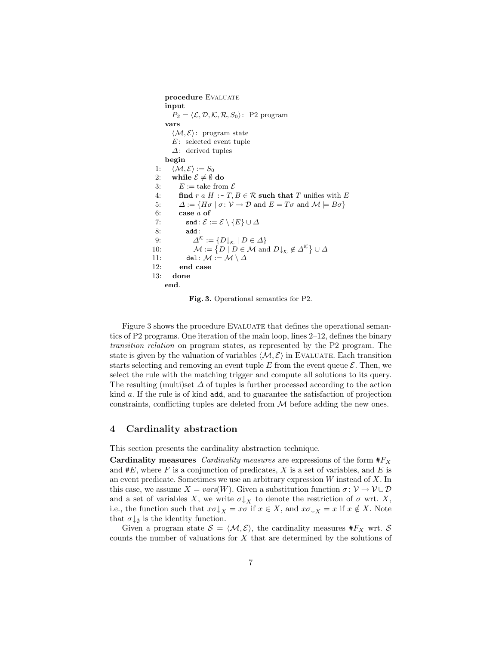procedure EVALUATE input  $P_2 = \langle \mathcal{L}, \mathcal{D}, \mathcal{K}, \mathcal{R}, S_0 \rangle$ : P2 program vars  $\langle \mathcal{M}, \mathcal{E} \rangle$ : program state  $E$ : selected event tuple  $\Delta$ : derived tuples begin 1:  $\langle \mathcal{M}, \mathcal{E} \rangle := S_0$ 2: while  $\mathcal{E} \neq \emptyset$  do 3:  $E := \text{take from } \mathcal{E}$ 4: find r a H :- T,  $B \in \mathcal{R}$  such that T unifies with E 5:  $\Delta := \{ H \sigma \mid \sigma : \mathcal{V} \to \mathcal{D} \text{ and } E = T \sigma \text{ and } \mathcal{M} \models B \sigma \}$ 6: case a of 7: snd:  $\mathcal{E} := \mathcal{E} \setminus \{E\} \cup \Delta$ 8: add: 9:  $\Delta^{\mathcal{K}} := \{ D \downarrow_{\mathcal{K}} \mid D \in \Delta \}$ 10:  $\mathcal{M} := \{ D \mid D \in \mathcal{M} \text{ and } D \downarrow_{\mathcal{K}} \notin \Delta^{\mathcal{K}} \} \cup \Delta$ 11: del:  $M := M \setminus \Delta$ 12: end case 13: done end.

Fig. 3. Operational semantics for P2.

Figure 3 shows the procedure EVALUATE that defines the operational semantics of P2 programs. One iteration of the main loop, lines 2–12, defines the binary transition relation on program states, as represented by the P2 program. The state is given by the valuation of variables  $\langle \mathcal{M}, \mathcal{E} \rangle$  in EVALUATE. Each transition starts selecting and removing an event tuple E from the event queue  $\mathcal{E}$ . Then, we select the rule with the matching trigger and compute all solutions to its query. The resulting (multi)set  $\Delta$  of tuples is further processed according to the action kind a. If the rule is of kind add, and to guarantee the satisfaction of projection constraints, conflicting tuples are deleted from  $M$  before adding the new ones.

## 4 Cardinality abstraction

This section presents the cardinality abstraction technique.

Cardinality measures *Cardinality measures* are expressions of the form  $#F_X$ and  $#E$ , where F is a conjunction of predicates, X is a set of variables, and E is an event predicate. Sometimes we use an arbitrary expression  $W$  instead of  $X$ . In this case, we assume  $X = vars(W)$ . Given a substitution function  $\sigma: V \to V \cup D$ and a set of variables X, we write  $\sigma \downarrow_X$  to denote the restriction of  $\sigma$  wrt. X, i.e., the function such that  $x\sigma\downarrow_X = x\sigma$  if  $x \in X$ , and  $x\sigma\downarrow_X = x$  if  $x \notin X$ . Note that  $\sigma \downarrow_{\emptyset}$  is the identity function.

Given a program state  $S = \langle M, \mathcal{E} \rangle$ , the cardinality measures # $F_X$  wrt. S counts the number of valuations for  $X$  that are determined by the solutions of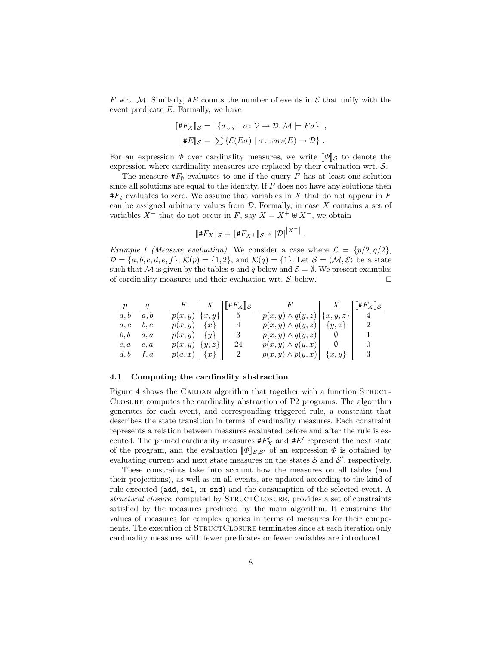F wrt. M. Similarly,  $\#E$  counts the number of events in  $\mathcal E$  that unify with the event predicate  $E$ . Formally, we have

$$
\llbracket \mathbf{H} F_X \rrbracket_S = |\{\sigma \downarrow_X \mid \sigma \colon \mathcal{V} \to \mathcal{D}, \mathcal{M} \models F\sigma\}|,
$$
  

$$
\llbracket \mathbf{H} E \rrbracket_S = \sum \{\mathcal{E}(E\sigma) \mid \sigma \colon \text{vars}(E) \to \mathcal{D}\}.
$$

For an expression  $\Phi$  over cardinality measures, we write  $\llbracket \Phi \rrbracket_{\mathcal{S}}$  to denote the expression where cardinality measures are replaced by their evaluation wrt. S.

The measure  $#F_{\emptyset}$  evaluates to one if the query F has at least one solution since all solutions are equal to the identity. If  $F$  does not have any solutions then  $#F_{\emptyset}$  evaluates to zero. We assume that variables in X that do not appear in F can be assigned arbitrary values from  $D$ . Formally, in case  $X$  contains a set of variables  $X^-$  that do not occur in F, say  $X = X^+ \oplus X^-$ , we obtain

$$
\llbracket \mathbf{H} F_X \rrbracket_{\mathcal{S}} = \llbracket \mathbf{H} F_{X^+} \rrbracket_{\mathcal{S}} \times |\mathcal{D}|^{|X^-|}.
$$

Example 1 (Measure evaluation). We consider a case where  $\mathcal{L} = \{p/2, q/2\},\$  $\mathcal{D} = \{a, b, c, d, e, f\}, \mathcal{K}(p) = \{1, 2\}, \text{ and } \mathcal{K}(q) = \{1\}.$  Let  $\mathcal{S} = \langle \mathcal{M}, \mathcal{E} \rangle$  be a state such that M is given by the tables p and q below and  $\mathcal{E} = \emptyset$ . We present examples of cardinality measures and their evaluation wrt.  $S$  below.  $\square$ 

| p                 | $\boldsymbol{q}$ |                     | $F \mid X \mid \ \#F_X\ _{\mathcal{S}}$ | $F$ and $F$                             | X           | $[\mathsf{H} F_X]_{\mathcal{S}}$ |
|-------------------|------------------|---------------------|-----------------------------------------|-----------------------------------------|-------------|----------------------------------|
| a, b              | a, b             | $p(x,y)   {x,y}$    | 5 <sup>5</sup>                          | $p(x, y) \wedge q(y, z)   \{x, y, z\} $ |             | 4                                |
| $a, c$ $b, c$     |                  | $p(x,y) \mid \{x\}$ | 4                                       | $p(x, y) \wedge q(y, z)   \{y, z\}  $   |             |                                  |
| b, b, d, a        |                  | $p(x,y) \mid \{y\}$ |                                         | $p(x,y) \wedge q(y,z)$                  | $\emptyset$ |                                  |
| c, a              | e, a             | $p(x,y)   {y,z}$    | 24                                      | $p(x,y) \wedge q(y,x)$                  | Ø           |                                  |
| $d, b \quad f, a$ |                  | $p(a,x) \mid \{x\}$ |                                         | $p(x, y) \wedge p(y, x)$                | $\{x,y\}$   |                                  |

### 4.1 Computing the cardinality abstraction

Figure 4 shows the CARDAN algorithm that together with a function STRUCT-Closure computes the cardinality abstraction of P2 programs. The algorithm generates for each event, and corresponding triggered rule, a constraint that describes the state transition in terms of cardinality measures. Each constraint represents a relation between measures evaluated before and after the rule is executed. The primed cardinality measures  $\#F'_X$  and  $\#E'$  represent the next state of the program, and the evaluation  $\llbracket \Phi \rrbracket_{S,S'}$  of an expression  $\Phi$  is obtained by evaluating current and next state measures on the states  $S$  and  $S'$ , respectively.

These constraints take into account how the measures on all tables (and their projections), as well as on all events, are updated according to the kind of rule executed (add, del, or snd) and the consumption of the selected event. A structural closure, computed by STRUCTCLOSURE, provides a set of constraints satisfied by the measures produced by the main algorithm. It constrains the values of measures for complex queries in terms of measures for their components. The execution of STRUCTCLOSURE terminates since at each iteration only cardinality measures with fewer predicates or fewer variables are introduced.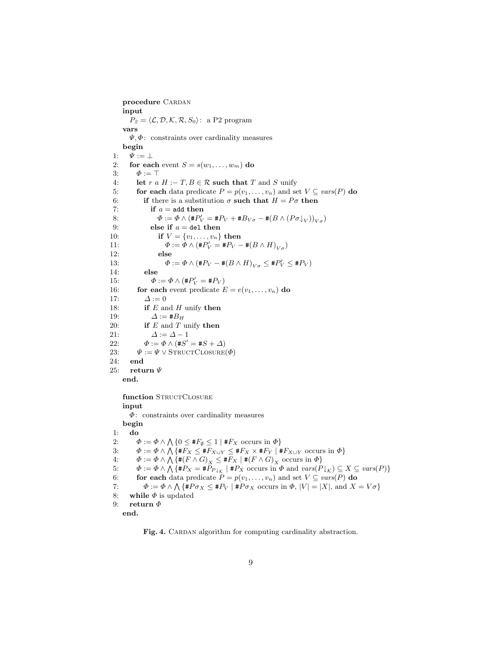procedure CARDAN input  $P_2 = \langle \mathcal{L}, \mathcal{D}, \mathcal{K}, \mathcal{R}, S_0 \rangle$ : a P2 program vars  $\Psi, \Phi$ : constraints over cardinality measures begin 1:  $\Psi := \perp$ 2: for each event  $S = s(w_1, \ldots, w_m)$  do 3:  $\Phi := \top$ 4: let r a  $H := T, B \in \mathcal{R}$  such that T and S unify 5: **for each** data predicate  $P = p(v_1, \ldots, v_n)$  and set  $V \subseteq vars(P)$  do 6: if there is a substitution  $\sigma$  such that  $H = P\sigma$  then 7: if  $a =$  add then 8:  $\Phi := \Phi \wedge (\#P'_V = \#P_V + \#B_{V\sigma} - \#(B \wedge (P\sigma \downarrow_V))_{V\sigma})$ 9: else if  $a =$  del then 10: if  $V = \{v_1, \ldots, v_n\}$  then 11:  $\Phi := \Phi \wedge (\#P'_V = \#P_V - \#(B \wedge H)_{V\sigma})$ 12: else 13:  $\Phi := \Phi \wedge (\#P_V - \# (B \wedge H)_{V\sigma} \leq \#P'_V \leq \#P_V)$ 14: else 15:  $\Phi := \Phi \wedge (\#P'_V = \#P_V)$ 16: **for each** event predicate  $E = e(v_1, \ldots, v_n)$  do 17:  $\Delta := 0$ 18: if  $E$  and  $H$  unify then 19:  $\Delta := \#B_H$ 20: if  $E$  and  $T$  unify then 21:  $\Delta := \Delta - 1$ 22:  $\Phi := \Phi \wedge (\#S' = \#S + \Delta)$ 23:  $\Psi := \Psi \vee \text{STRUCTCLOSURE}(\Phi)$ 24: end 25: return  $\Psi$ end. function STRUCTCLOSURE input  $\Phi$ : constraints over cardinality measures begin 1: do 2:  $\Phi := \Phi \wedge \bigwedge \{0 \leq \#F_{\emptyset} \leq 1 \mid \#F_X \text{ occurs in } \Phi\}$ 3:  $\Phi := \Phi \wedge \bigwedge {\{\#F_X \leq \#F_{X \cup Y} \leq \#F_X \times \#F_Y \mid \#F_{X \cup Y} \text{ occurs in } \Phi\}}$ 4:  $\Phi := \Phi \wedge \bigwedge \{ \#(F \wedge G)_X \leq \#F_X \mid \#(F \wedge G)_X \text{ occurs in } \Phi \}$ 5:  $\Phi := \Phi \wedge \bigwedge {\{\#P_X = \#P_{P \downarrow_{\mathcal{K}} \mid \#P_X \text{ occurs in } \Phi \text{ and } vars(P \downarrow_{\mathcal{K}}) \subseteq X \subseteq vars(P)\}}$ 6: **for each** data predicate  $P = p(v_1, \ldots, v_n)$  and set  $V \subseteq vars(P)$  do 7:  $\Phi := \Phi \wedge \bigwedge {\{\#P\sigma_X \leq \#P_V \mid \#P\sigma_X \text{ occurs in } \Phi, |V| = |X|, \text{ and } X = V\sigma \}}$ 8: while  $\Phi$  is updated 9: return  $\Phi$ end.

Fig. 4. CARDAN algorithm for computing cardinality abstraction.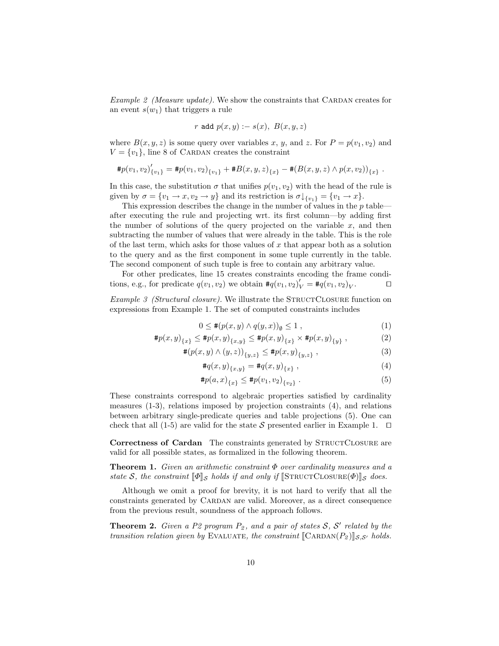*Example 2 (Measure update).* We show the constraints that CARDAN creates for an event  $s(w_1)$  that triggers a rule

$$
r \text{ add } p(x,y) := s(x), \ B(x,y,z)
$$

where  $B(x, y, z)$  is some query over variables x, y, and z. For  $P = p(v_1, v_2)$  and  $V = \{v_1\}$ , line 8 of CARDAN creates the constraint

$$
\#p(v_1, v_2)'_{\{v_1\}} = \#p(v_1, v_2)_{\{v_1\}} + \#B(x, y, z)_{\{x\}} - \#(B(x, y, z) \wedge p(x, v_2))_{\{x\}}.
$$

In this case, the substitution  $\sigma$  that unifies  $p(v_1, v_2)$  with the head of the rule is given by  $\sigma = \{v_1 \to x, v_2 \to y\}$  and its restriction is  $\sigma \downarrow_{\{v_1\}} = \{v_1 \to x\}.$ 

This expression describes the change in the number of values in the  $p$  table after executing the rule and projecting wrt. its first column—by adding first the number of solutions of the query projected on the variable  $x$ , and then subtracting the number of values that were already in the table. This is the role of the last term, which asks for those values of x that appear both as a solution to the query and as the first component in some tuple currently in the table. The second component of such tuple is free to contain any arbitrary value.

For other predicates, line 15 creates constraints encoding the frame conditions, e.g., for predicate  $q(v_1, v_2)$  we obtain  $\#q(v_1, v_2)'_V = \#q(v_1, v_2)_V$  $\Box$ 

Example 3 (Structural closure). We illustrate the STRUCTCLOSURE function on expressions from Example 1. The set of computed constraints includes

$$
0 \leq \#(p(x, y) \land q(y, x))_{\emptyset} \leq 1 , \qquad (1)
$$

$$
\#p(x,y)_{\{x\}} \leq \#p(x,y)_{\{x,y\}} \leq \#p(x,y)_{\{x\}} \times \#p(x,y)_{\{y\}},
$$
 (2)

$$
\#(p(x,y) \wedge (y,z))_{\{y,z\}} \le \#p(x,y)_{\{y,z\}},\tag{3}
$$

$$
\#q(x,y)_{\{x,y\}} = \#q(x,y)_{\{x\}},\tag{4}
$$

$$
\#p(a,x)_{\{x\}} \le \#p(v_1,v_2)_{\{v_2\}}.
$$
 (5)

These constraints correspond to algebraic properties satisfied by cardinality measures  $(1-3)$ , relations imposed by projection constraints  $(4)$ , and relations between arbitrary single-predicate queries and table projections (5). One can check that all (1-5) are valid for the state S presented earlier in Example 1.  $\Box$ 

Correctness of Cardan The constraints generated by STRUCTCLOSURE are valid for all possible states, as formalized in the following theorem.

**Theorem 1.** Given an arithmetic constraint  $\Phi$  over cardinality measures and a state S, the constraint  $\llbracket \Phi \rrbracket_S$  holds if and only if  $\llbracket \text{STRUCTCLOSURE}(\Phi) \rrbracket_S$  does.

Although we omit a proof for brevity, it is not hard to verify that all the constraints generated by CARDAN are valid. Moreover, as a direct consequence from the previous result, soundness of the approach follows.

**Theorem 2.** Given a P2 program  $P_2$ , and a pair of states  $S$ ,  $S'$  related by the transition relation given by EVALUATE, the constraint  $\llbracket \text{CARDAN}(P_2) \rrbracket_{\mathcal{S},\mathcal{S}'}$  holds.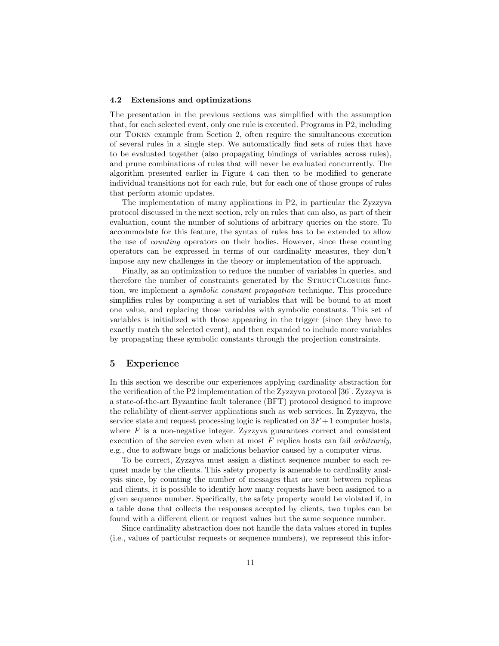#### 4.2 Extensions and optimizations

The presentation in the previous sections was simplified with the assumption that, for each selected event, only one rule is executed. Programs in P2, including our Token example from Section 2, often require the simultaneous execution of several rules in a single step. We automatically find sets of rules that have to be evaluated together (also propagating bindings of variables across rules), and prune combinations of rules that will never be evaluated concurrently. The algorithm presented earlier in Figure 4 can then to be modified to generate individual transitions not for each rule, but for each one of those groups of rules that perform atomic updates.

The implementation of many applications in P2, in particular the Zyzzyva protocol discussed in the next section, rely on rules that can also, as part of their evaluation, count the number of solutions of arbitrary queries on the store. To accommodate for this feature, the syntax of rules has to be extended to allow the use of counting operators on their bodies. However, since these counting operators can be expressed in terms of our cardinality measures, they don't impose any new challenges in the theory or implementation of the approach.

Finally, as an optimization to reduce the number of variables in queries, and therefore the number of constraints generated by the STRUCTCLOSURE function, we implement a symbolic constant propagation technique. This procedure simplifies rules by computing a set of variables that will be bound to at most one value, and replacing those variables with symbolic constants. This set of variables is initialized with those appearing in the trigger (since they have to exactly match the selected event), and then expanded to include more variables by propagating these symbolic constants through the projection constraints.

## 5 Experience

In this section we describe our experiences applying cardinality abstraction for the verification of the P2 implementation of the Zyzzyva protocol [36]. Zyzzyva is a state-of-the-art Byzantine fault tolerance (BFT) protocol designed to improve the reliability of client-server applications such as web services. In Zyzzyva, the service state and request processing logic is replicated on  $3F + 1$  computer hosts, where  $F$  is a non-negative integer. Zyzzyva guarantees correct and consistent execution of the service even when at most  $F$  replica hosts can fail arbitrarily, e.g., due to software bugs or malicious behavior caused by a computer virus.

To be correct, Zyzzyva must assign a distinct sequence number to each request made by the clients. This safety property is amenable to cardinality analysis since, by counting the number of messages that are sent between replicas and clients, it is possible to identify how many requests have been assigned to a given sequence number. Specifically, the safety property would be violated if, in a table done that collects the responses accepted by clients, two tuples can be found with a different client or request values but the same sequence number.

Since cardinality abstraction does not handle the data values stored in tuples (i.e., values of particular requests or sequence numbers), we represent this infor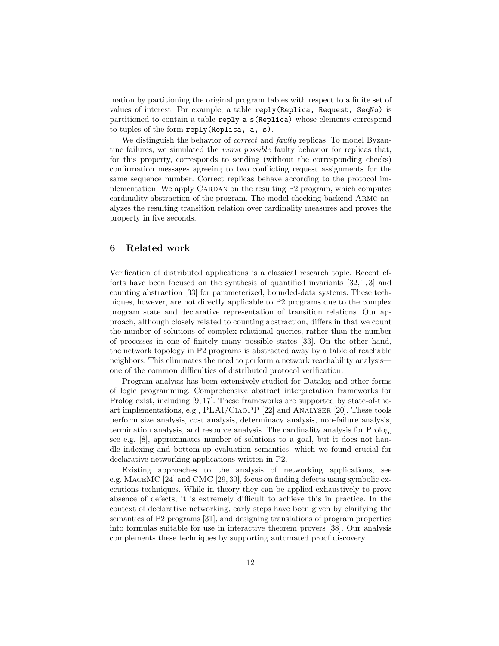mation by partitioning the original program tables with respect to a finite set of values of interest. For example, a table reply(Replica, Request, SeqNo) is partitioned to contain a table reply\_a\_s(Replica) whose elements correspond to tuples of the form reply(Replica, a, s).

We distinguish the behavior of *correct* and *faulty* replicas. To model Byzantine failures, we simulated the worst possible faulty behavior for replicas that, for this property, corresponds to sending (without the corresponding checks) confirmation messages agreeing to two conflicting request assignments for the same sequence number. Correct replicas behave according to the protocol implementation. We apply CARDAN on the resulting P2 program, which computes cardinality abstraction of the program. The model checking backend Armc analyzes the resulting transition relation over cardinality measures and proves the property in five seconds.

## 6 Related work

Verification of distributed applications is a classical research topic. Recent efforts have been focused on the synthesis of quantified invariants [32, 1, 3] and counting abstraction [33] for parameterized, bounded-data systems. These techniques, however, are not directly applicable to P2 programs due to the complex program state and declarative representation of transition relations. Our approach, although closely related to counting abstraction, differs in that we count the number of solutions of complex relational queries, rather than the number of processes in one of finitely many possible states [33]. On the other hand, the network topology in P2 programs is abstracted away by a table of reachable neighbors. This eliminates the need to perform a network reachability analysis one of the common difficulties of distributed protocol verification.

Program analysis has been extensively studied for Datalog and other forms of logic programming. Comprehensive abstract interpretation frameworks for Prolog exist, including [9, 17]. These frameworks are supported by state-of-theart implementations, e.g., PLAI/CiaoPP [22] and Analyser [20]. These tools perform size analysis, cost analysis, determinacy analysis, non-failure analysis, termination analysis, and resource analysis. The cardinality analysis for Prolog, see e.g. [8], approximates number of solutions to a goal, but it does not handle indexing and bottom-up evaluation semantics, which we found crucial for declarative networking applications written in P2.

Existing approaches to the analysis of networking applications, see e.g. MaceMC [24] and CMC [29, 30], focus on finding defects using symbolic executions techniques. While in theory they can be applied exhaustively to prove absence of defects, it is extremely difficult to achieve this in practice. In the context of declarative networking, early steps have been given by clarifying the semantics of P2 programs [31], and designing translations of program properties into formulas suitable for use in interactive theorem provers [38]. Our analysis complements these techniques by supporting automated proof discovery.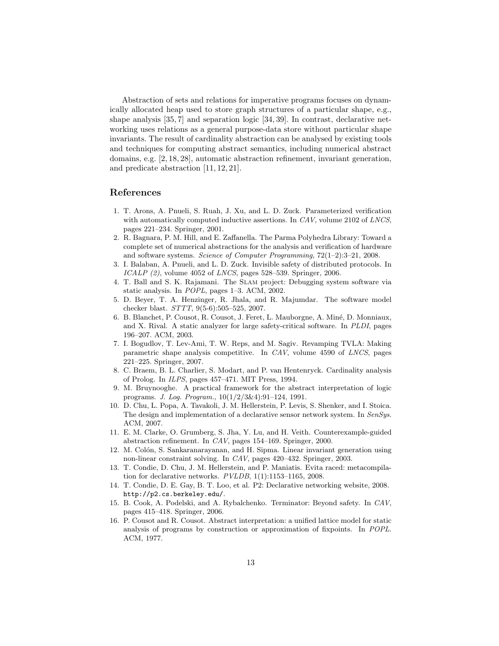Abstraction of sets and relations for imperative programs focuses on dynamically allocated heap used to store graph structures of a particular shape, e.g., shape analysis [35, 7] and separation logic [34, 39]. In contrast, declarative networking uses relations as a general purpose-data store without particular shape invariants. The result of cardinality abstraction can be analysed by existing tools and techniques for computing abstract semantics, including numerical abstract domains, e.g. [2, 18, 28], automatic abstraction refinement, invariant generation, and predicate abstraction [11, 12, 21].

## References

- 1. T. Arons, A. Pnueli, S. Ruah, J. Xu, and L. D. Zuck. Parameterized verification with automatically computed inductive assertions. In CAV, volume 2102 of LNCS, pages 221–234. Springer, 2001.
- 2. R. Bagnara, P. M. Hill, and E. Zaffanella. The Parma Polyhedra Library: Toward a complete set of numerical abstractions for the analysis and verification of hardware and software systems. Science of Computer Programming, 72(1–2):3–21, 2008.
- 3. I. Balaban, A. Pnueli, and L. D. Zuck. Invisible safety of distributed protocols. In  $ICALP$  (2), volume 4052 of *LNCS*, pages 528–539. Springer, 2006.
- 4. T. Ball and S. K. Rajamani. The Slam project: Debugging system software via static analysis. In POPL, pages 1–3. ACM, 2002.
- 5. D. Beyer, T. A. Henzinger, R. Jhala, and R. Majumdar. The software model checker blast. STTT, 9(5-6):505–525, 2007.
- 6. B. Blanchet, P. Cousot, R. Cousot, J. Feret, L. Mauborgne, A. Miné, D. Monniaux, and X. Rival. A static analyzer for large safety-critical software. In PLDI, pages 196–207. ACM, 2003.
- 7. I. Bogudlov, T. Lev-Ami, T. W. Reps, and M. Sagiv. Revamping TVLA: Making parametric shape analysis competitive. In CAV, volume 4590 of LNCS, pages 221–225. Springer, 2007.
- 8. C. Braem, B. L. Charlier, S. Modart, and P. van Hentenryck. Cardinality analysis of Prolog. In ILPS, pages 457–471. MIT Press, 1994.
- 9. M. Bruynooghe. A practical framework for the abstract interpretation of logic programs. J. Log. Program., 10(1/2/3&4):91–124, 1991.
- 10. D. Chu, L. Popa, A. Tavakoli, J. M. Hellerstein, P. Levis, S. Shenker, and I. Stoica. The design and implementation of a declarative sensor network system. In SenSys. ACM, 2007.
- 11. E. M. Clarke, O. Grumberg, S. Jha, Y. Lu, and H. Veith. Counterexample-guided abstraction refinement. In CAV, pages 154–169. Springer, 2000.
- 12. M. Colón, S. Sankaranarayanan, and H. Sipma. Linear invariant generation using non-linear constraint solving. In CAV, pages 420–432. Springer, 2003.
- 13. T. Condie, D. Chu, J. M. Hellerstein, and P. Maniatis. Evita raced: metacompilation for declarative networks. PVLDB, 1(1):1153–1165, 2008.
- 14. T. Condie, D. E. Gay, B. T. Loo, et al. P2: Declarative networking website, 2008. http://p2.cs.berkeley.edu/.
- 15. B. Cook, A. Podelski, and A. Rybalchenko. Terminator: Beyond safety. In CAV, pages 415–418. Springer, 2006.
- 16. P. Cousot and R. Cousot. Abstract interpretation: a unified lattice model for static analysis of programs by construction or approximation of fixpoints. In POPL. ACM, 1977.